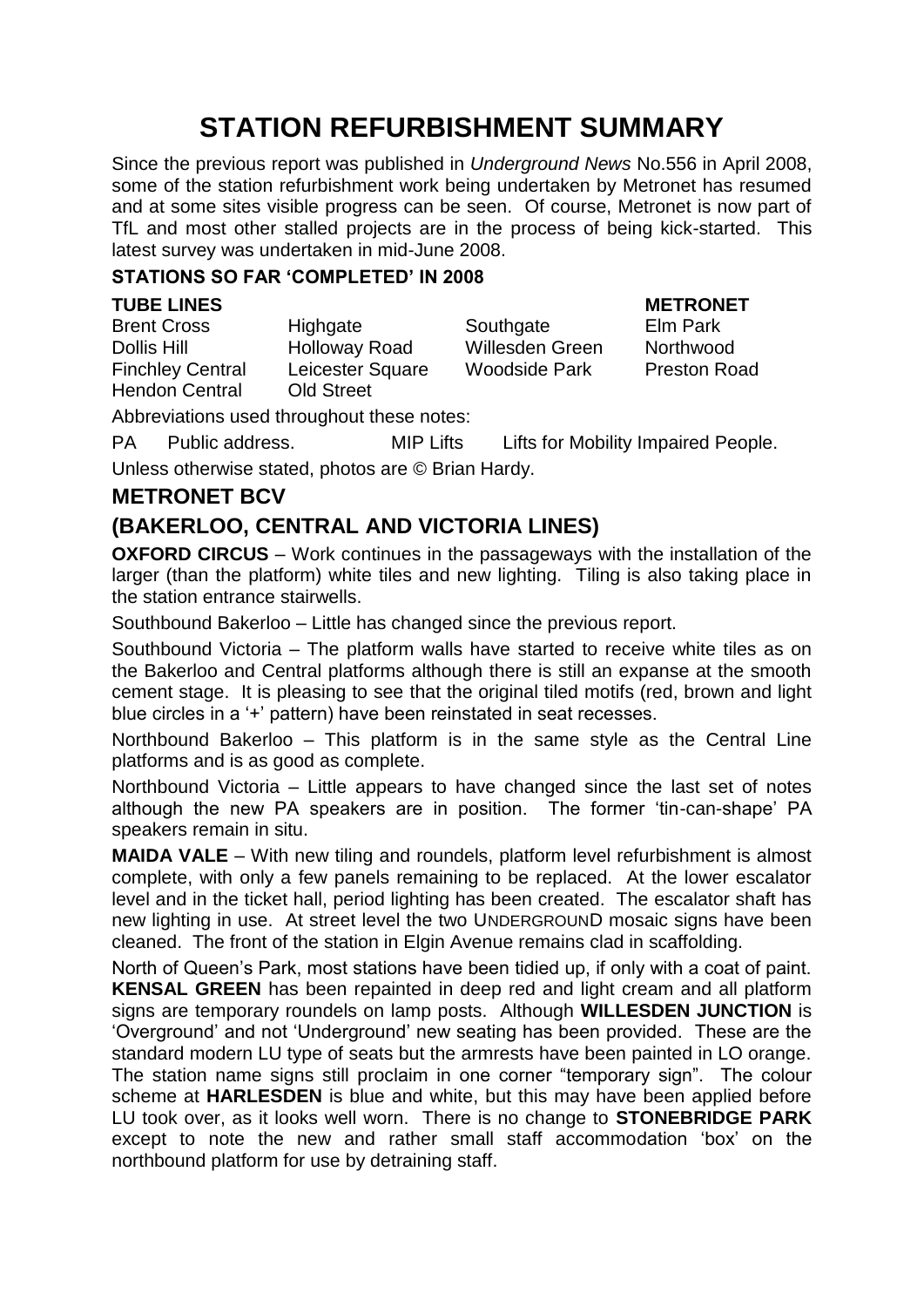# **STATION REFURBISHMENT SUMMARY**

Since the previous report was published in *Underground News* No.556 in April 2008, some of the station refurbishment work being undertaken by Metronet has resumed and at some sites visible progress can be seen. Of course, Metronet is now part of TfL and most other stalled projects are in the process of being kick-started. This latest survey was undertaken in mid-June 2008.

#### **STATIONS SO FAR 'COMPLETED' IN 2008**

### **TUBE LINES**

Brent Cross Dollis Hill Finchley Central Hendon Central

**Highgate** Holloway Road Leicester Square Old Street

**Southgate** Willesden Green Woodside Park

**METRONET**

Elm Park **Northwood** Preston Road

Abbreviations used throughout these notes:

PA Public address. MIP Lifts Lifts for Mobility Impaired People.

Unless otherwise stated, photos are © Brian Hardy.

# **METRONET BCV**

# **(BAKERLOO, CENTRAL AND VICTORIA LINES)**

**OXFORD CIRCUS** – Work continues in the passageways with the installation of the larger (than the platform) white tiles and new lighting. Tiling is also taking place in the station entrance stairwells.

Southbound Bakerloo – Little has changed since the previous report.

Southbound Victoria – The platform walls have started to receive white tiles as on the Bakerloo and Central platforms although there is still an expanse at the smooth cement stage. It is pleasing to see that the original tiled motifs (red, brown and light blue circles in a '+' pattern) have been reinstated in seat recesses.

Northbound Bakerloo – This platform is in the same style as the Central Line platforms and is as good as complete.

Northbound Victoria – Little appears to have changed since the last set of notes although the new PA speakers are in position. The former "tin-can-shape" PA speakers remain in situ.

**MAIDA VALE** – With new tiling and roundels, platform level refurbishment is almost complete, with only a few panels remaining to be replaced. At the lower escalator level and in the ticket hall, period lighting has been created. The escalator shaft has new lighting in use. At street level the two UNDERGROUND mosaic signs have been cleaned. The front of the station in Elgin Avenue remains clad in scaffolding.

North of Queen"s Park, most stations have been tidied up, if only with a coat of paint. **KENSAL GREEN** has been repainted in deep red and light cream and all platform signs are temporary roundels on lamp posts. Although **WILLESDEN JUNCTION** is "Overground" and not "Underground" new seating has been provided. These are the standard modern LU type of seats but the armrests have been painted in LO orange. The station name signs still proclaim in one corner "temporary sign". The colour scheme at **HARLESDEN** is blue and white, but this may have been applied before LU took over, as it looks well worn. There is no change to **STONEBRIDGE PARK** except to note the new and rather small staff accommodation "box" on the northbound platform for use by detraining staff.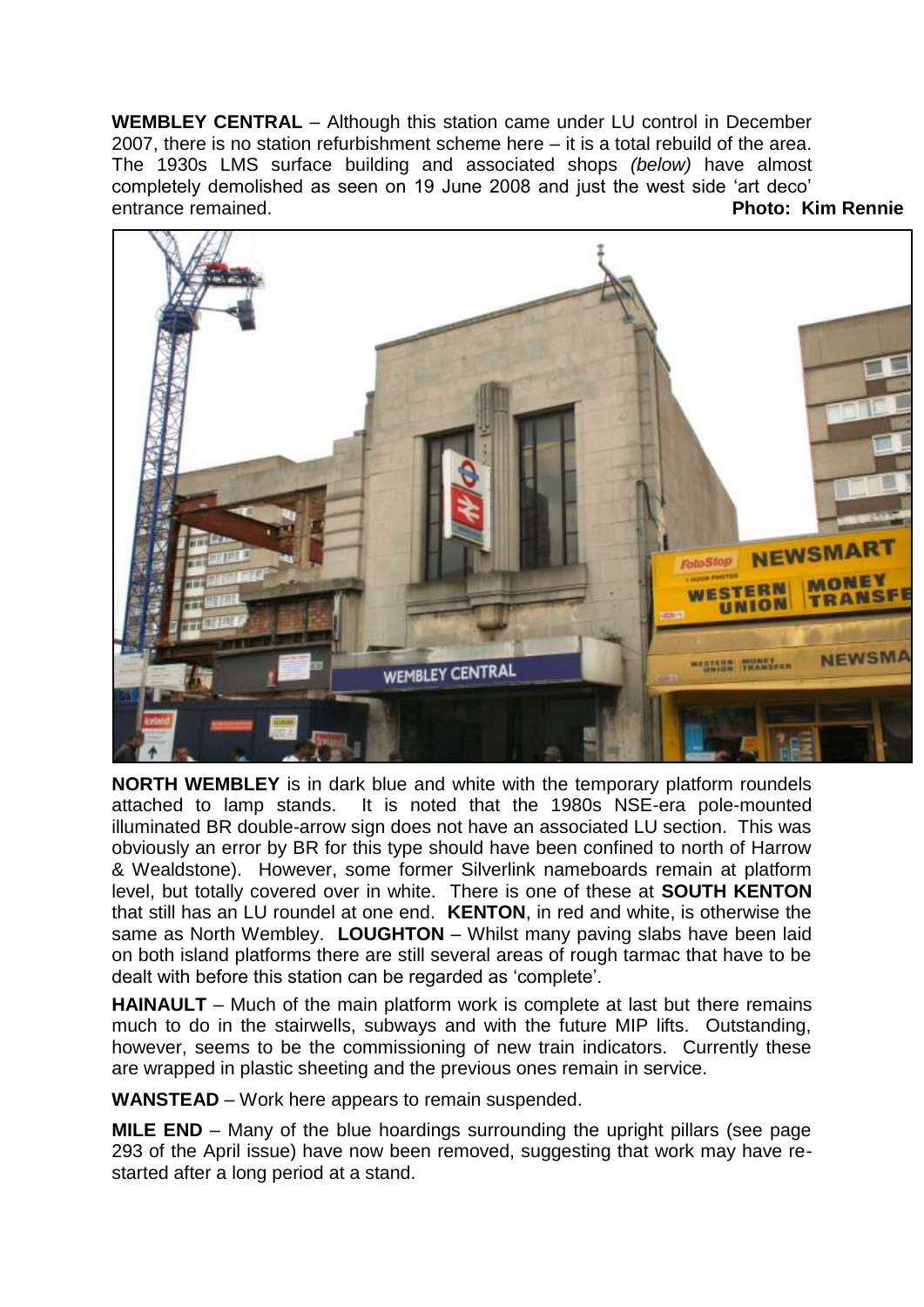**WEMBLEY CENTRAL** – Although this station came under LU control in December 2007, there is no station refurbishment scheme here – it is a total rebuild of the area. The 1930s LMS surface building and associated shops *(below)* have almost completely demolished as seen on 19 June 2008 and just the west side "art deco" entrance remained. **Photo: Kim Rennie**



**NORTH WEMBLEY** is in dark blue and white with the temporary platform roundels attached to lamp stands. It is noted that the 1980s NSE-era pole-mounted illuminated BR double-arrow sign does not have an associated LU section. This was obviously an error by BR for this type should have been confined to north of Harrow & Wealdstone). However, some former Silverlink nameboards remain at platform level, but totally covered over in white. There is one of these at **SOUTH KENTON**  that still has an LU roundel at one end. **KENTON**, in red and white, is otherwise the same as North Wembley. **LOUGHTON** – Whilst many paving slabs have been laid on both island platforms there are still several areas of rough tarmac that have to be dealt with before this station can be regarded as "complete".

**HAINAULT** – Much of the main platform work is complete at last but there remains much to do in the stairwells, subways and with the future MIP lifts. Outstanding, however, seems to be the commissioning of new train indicators. Currently these are wrapped in plastic sheeting and the previous ones remain in service.

**WANSTEAD** – Work here appears to remain suspended.

**MILE END** – Many of the blue hoardings surrounding the upright pillars (see page 293 of the April issue) have now been removed, suggesting that work may have restarted after a long period at a stand.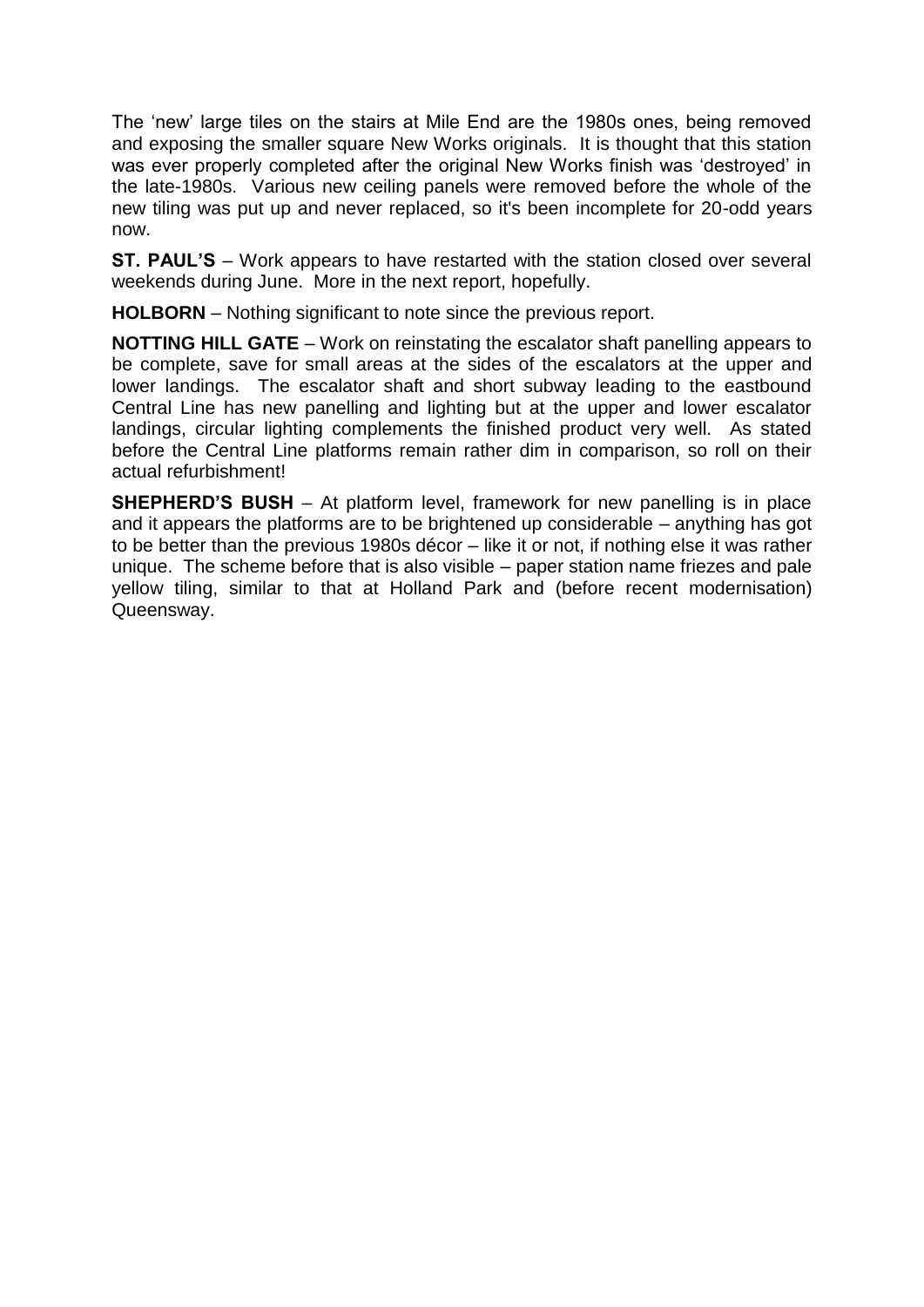The "new" large tiles on the stairs at Mile End are the 1980s ones, being removed and exposing the smaller square New Works originals. It is thought that this station was ever properly completed after the original New Works finish was "destroyed" in the late-1980s. Various new ceiling panels were removed before the whole of the new tiling was put up and never replaced, so it's been incomplete for 20-odd years now.

**ST. PAUL'S** – Work appears to have restarted with the station closed over several weekends during June. More in the next report, hopefully.

**HOLBORN** – Nothing significant to note since the previous report.

**NOTTING HILL GATE** – Work on reinstating the escalator shaft panelling appears to be complete, save for small areas at the sides of the escalators at the upper and lower landings. The escalator shaft and short subway leading to the eastbound Central Line has new panelling and lighting but at the upper and lower escalator landings, circular lighting complements the finished product very well. As stated before the Central Line platforms remain rather dim in comparison, so roll on their actual refurbishment!

**SHEPHERD'S BUSH** – At platform level, framework for new panelling is in place and it appears the platforms are to be brightened up considerable – anything has got to be better than the previous 1980s décor – like it or not, if nothing else it was rather unique. The scheme before that is also visible – paper station name friezes and pale yellow tiling, similar to that at Holland Park and (before recent modernisation) Queensway.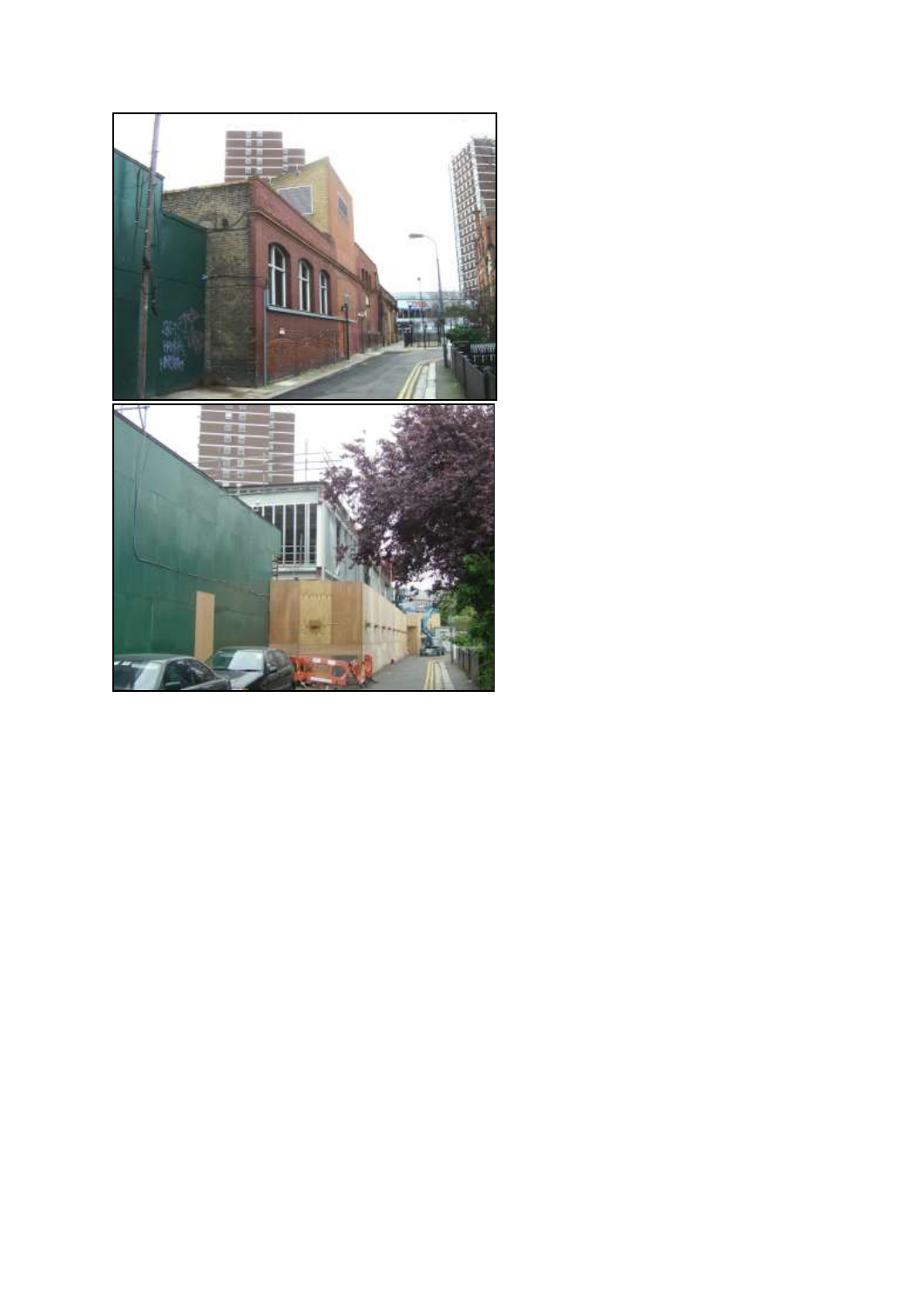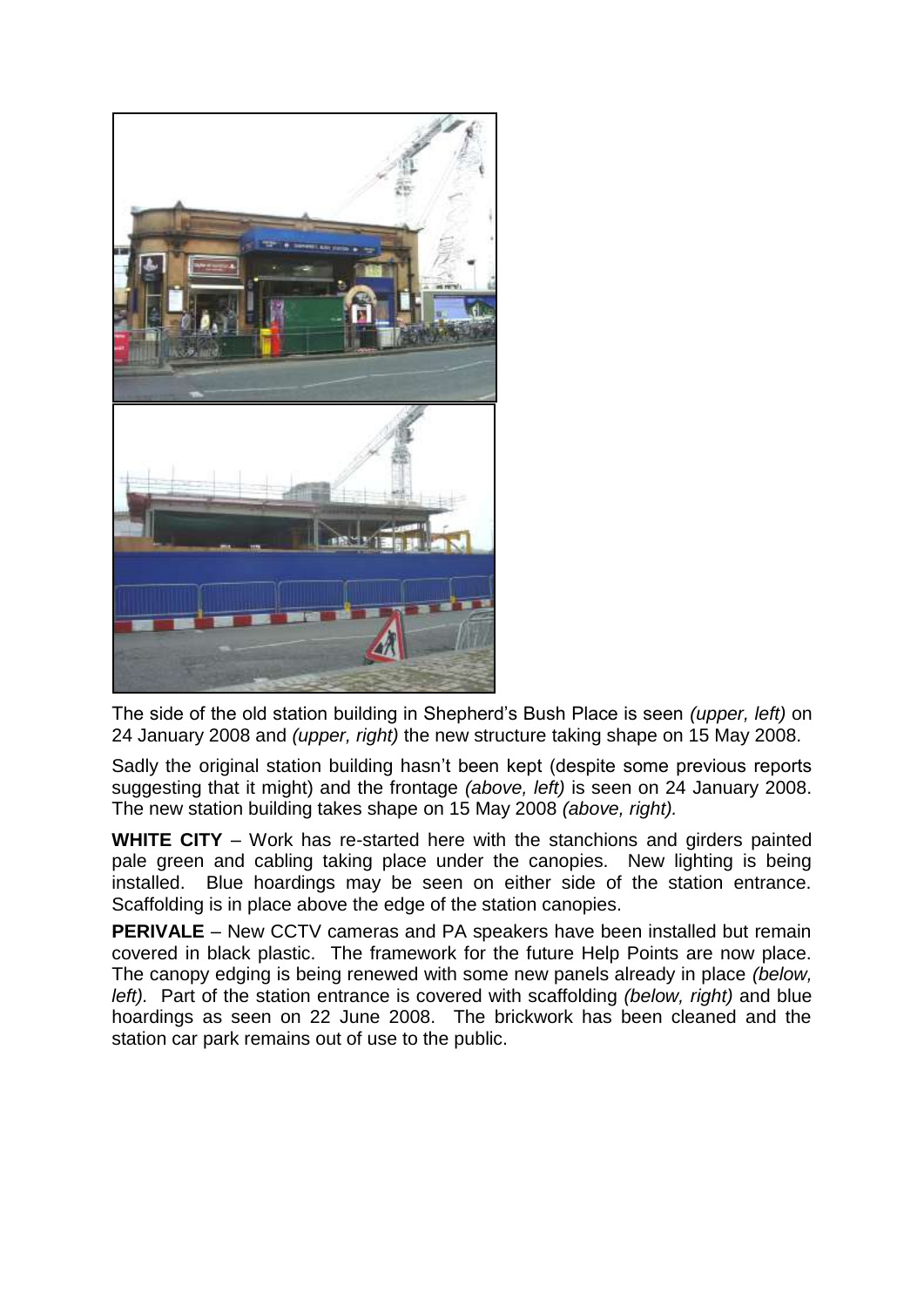

The side of the old station building in Shepherd"s Bush Place is seen *(upper, left)* on 24 January 2008 and *(upper, right)* the new structure taking shape on 15 May 2008.

Sadly the original station building hasn't been kept (despite some previous reports suggesting that it might) and the frontage *(above, left)* is seen on 24 January 2008. The new station building takes shape on 15 May 2008 *(above, right).*

**WHITE CITY** – Work has re-started here with the stanchions and girders painted pale green and cabling taking place under the canopies. New lighting is being installed. Blue hoardings may be seen on either side of the station entrance. Scaffolding is in place above the edge of the station canopies.

**PERIVALE** – New CCTV cameras and PA speakers have been installed but remain covered in black plastic. The framework for the future Help Points are now place. The canopy edging is being renewed with some new panels already in place *(below, left).* Part of the station entrance is covered with scaffolding *(below, right)* and blue hoardings as seen on 22 June 2008. The brickwork has been cleaned and the station car park remains out of use to the public.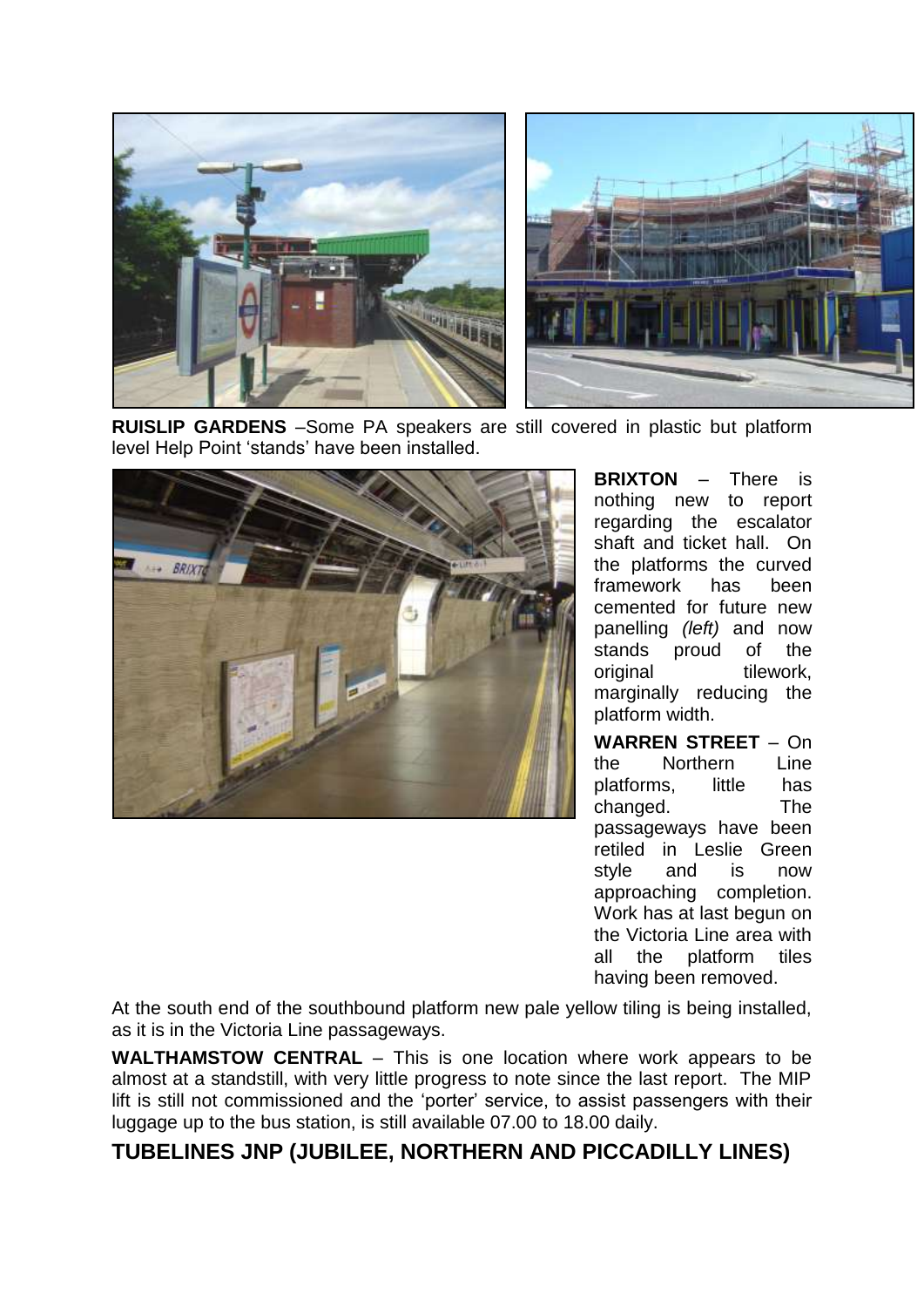

**RUISLIP GARDENS** –Some PA speakers are still covered in plastic but platform level Help Point "stands" have been installed.



**BRIXTON** – There is nothing new to report regarding the escalator shaft and ticket hall. On the platforms the curved framework has been cemented for future new panelling *(left)* and now stands proud of the original tilework. marginally reducing the platform width.

**WARREN STREET** – On the Northern Line platforms, little has changed. The passageways have been retiled in Leslie Green style and is now approaching completion. Work has at last begun on the Victoria Line area with all the platform tiles having been removed.

At the south end of the southbound platform new pale yellow tiling is being installed, as it is in the Victoria Line passageways.

**WALTHAMSTOW CENTRAL** – This is one location where work appears to be almost at a standstill, with very little progress to note since the last report. The MIP lift is still not commissioned and the "porter" service, to assist passengers with their luggage up to the bus station, is still available 07.00 to 18.00 daily.

## **TUBELINES JNP (JUBILEE, NORTHERN AND PICCADILLY LINES)**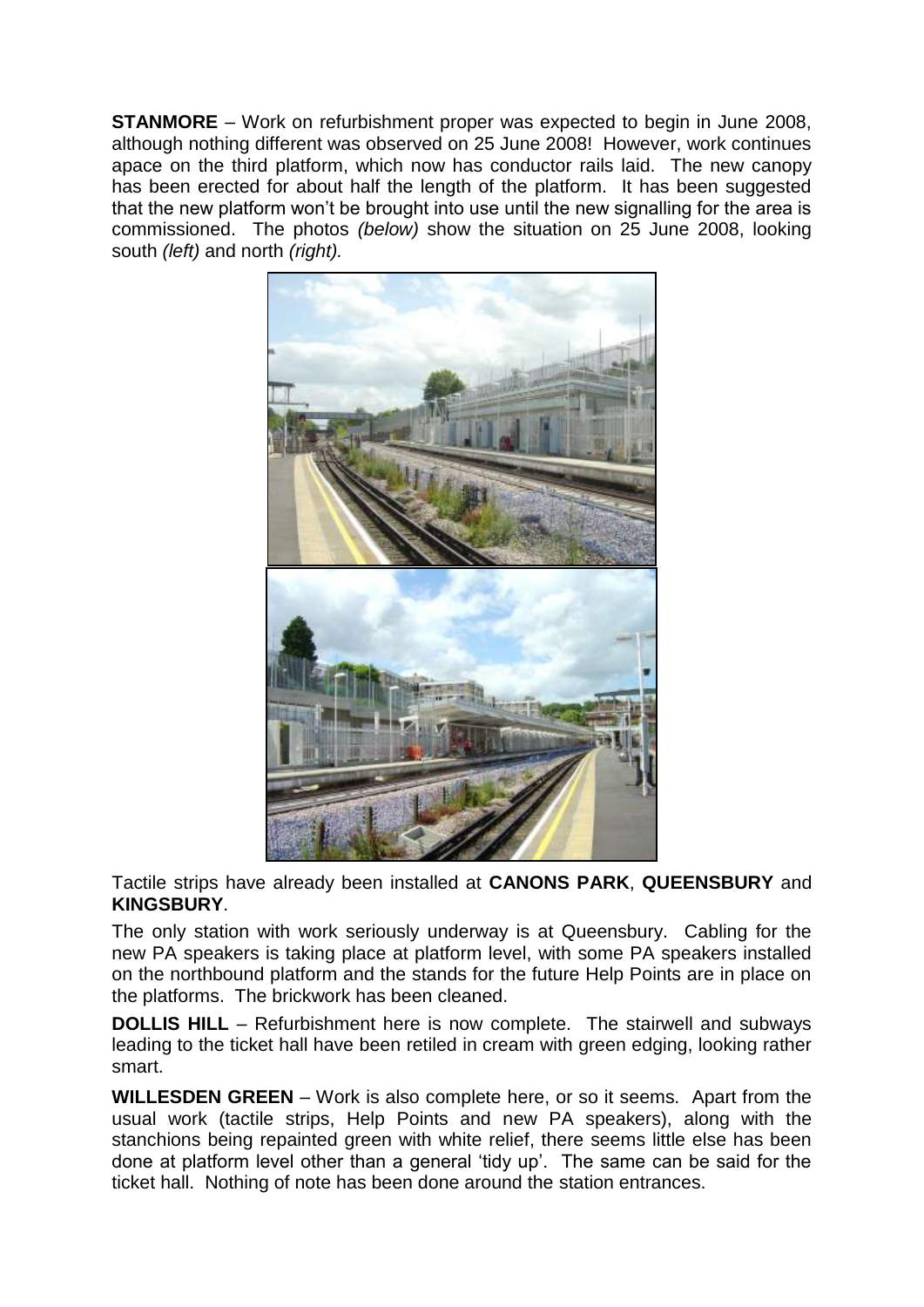**STANMORE** – Work on refurbishment proper was expected to begin in June 2008, although nothing different was observed on 25 June 2008! However, work continues apace on the third platform, which now has conductor rails laid. The new canopy has been erected for about half the length of the platform. It has been suggested that the new platform won"t be brought into use until the new signalling for the area is commissioned. The photos *(below)* show the situation on 25 June 2008, looking south *(left)* and north *(right).*



Tactile strips have already been installed at **CANONS PARK**, **QUEENSBURY** and **KINGSBURY**.

The only station with work seriously underway is at Queensbury. Cabling for the new PA speakers is taking place at platform level, with some PA speakers installed on the northbound platform and the stands for the future Help Points are in place on the platforms. The brickwork has been cleaned.

**DOLLIS HILL** – Refurbishment here is now complete. The stairwell and subways leading to the ticket hall have been retiled in cream with green edging, looking rather smart.

**WILLESDEN GREEN** – Work is also complete here, or so it seems. Apart from the usual work (tactile strips, Help Points and new PA speakers), along with the stanchions being repainted green with white relief, there seems little else has been done at platform level other than a general "tidy up". The same can be said for the ticket hall. Nothing of note has been done around the station entrances.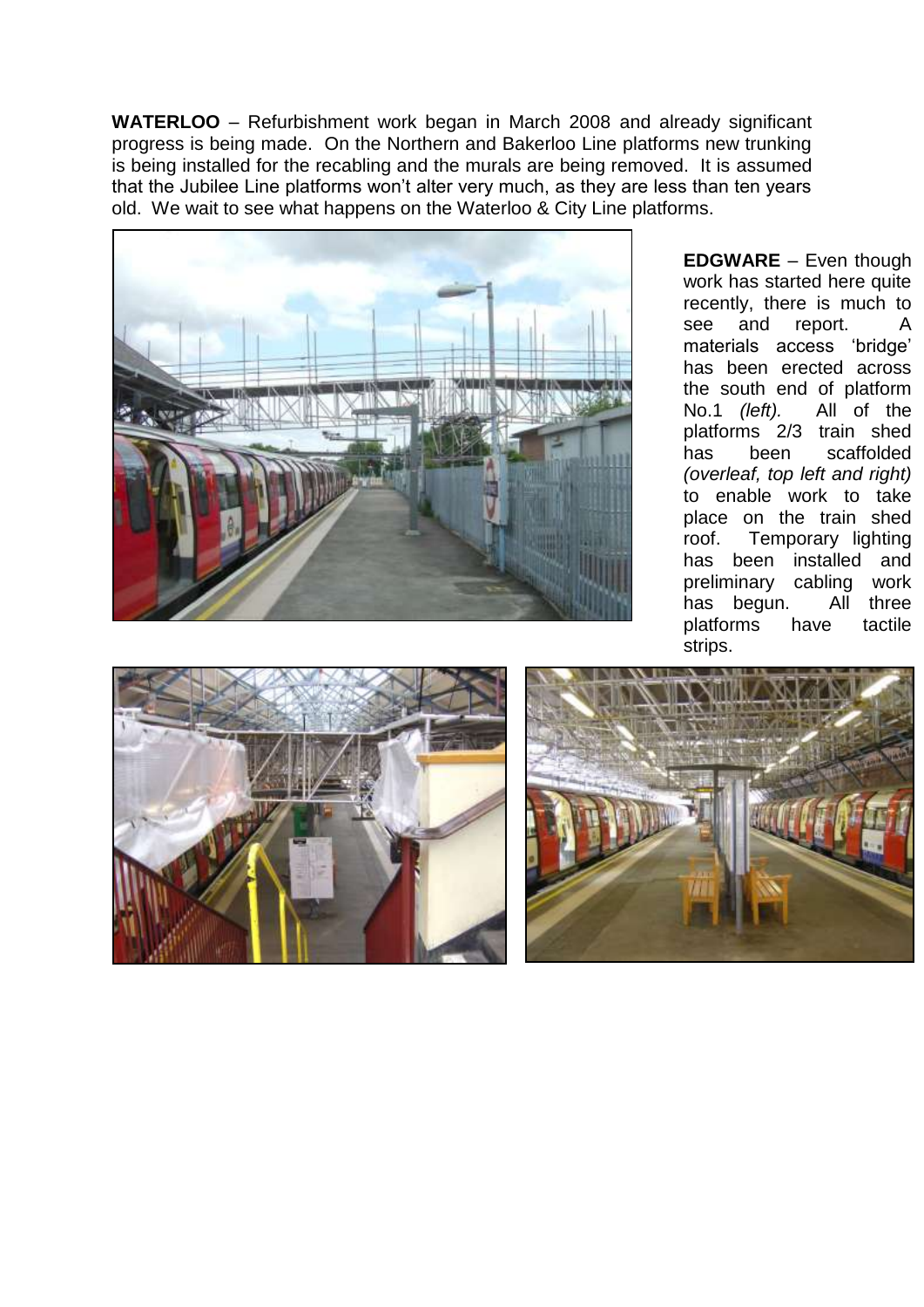**WATERLOO** – Refurbishment work began in March 2008 and already significant progress is being made. On the Northern and Bakerloo Line platforms new trunking is being installed for the recabling and the murals are being removed. It is assumed that the Jubilee Line platforms won"t alter very much, as they are less than ten years old. We wait to see what happens on the Waterloo & City Line platforms.



**EDGWARE** – Even though work has started here quite recently, there is much to see and report. A materials access "bridge" has been erected across the south end of platform No.1 *(left).* All of the platforms 2/3 train shed has been scaffolded *(overleaf, top left and right)*  to enable work to take place on the train shed roof. Temporary lighting has been installed and preliminary cabling work has begun. All three platforms have tactile strips.



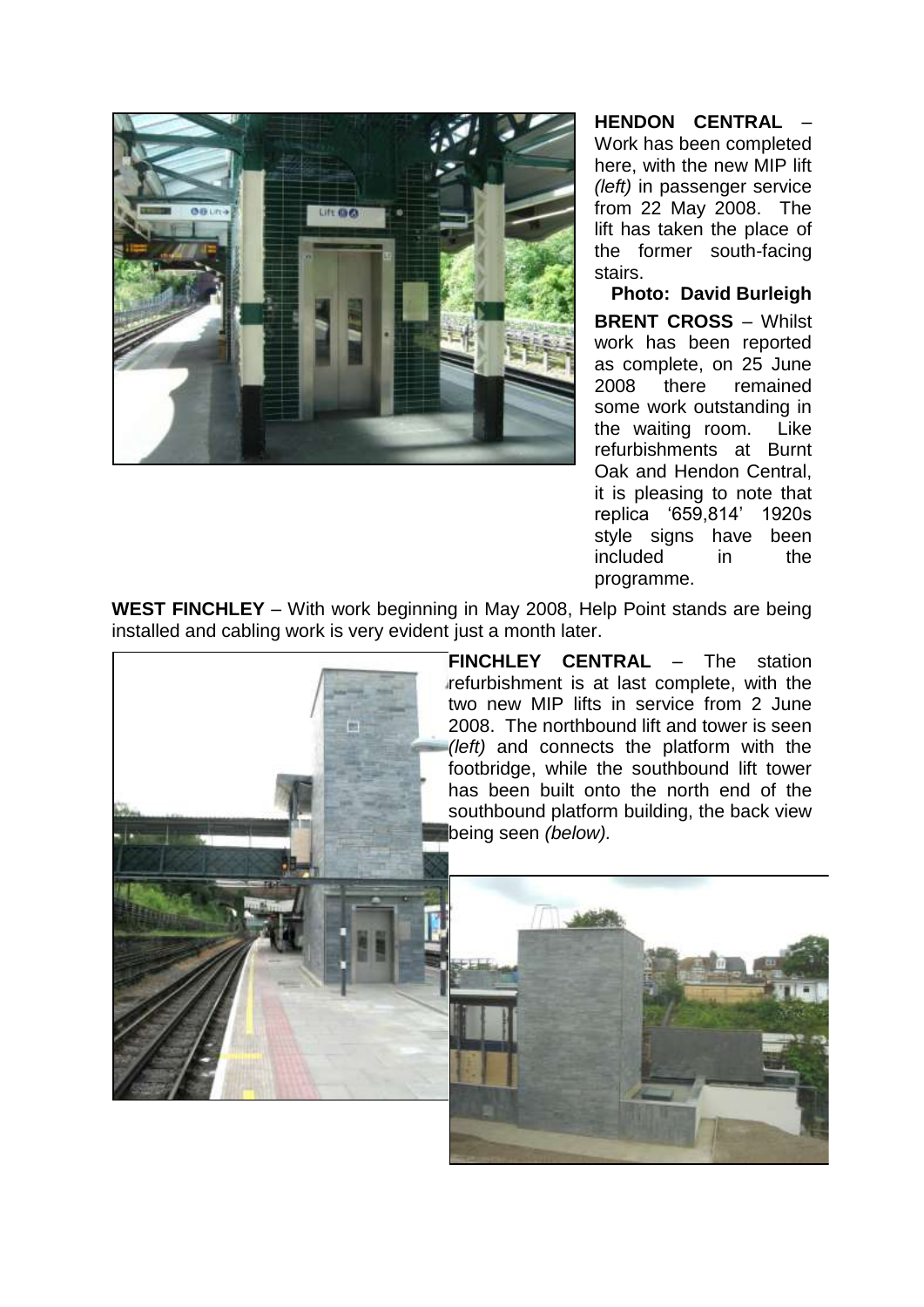

**HENDON CENTRAL** – Work has been completed here, with the new MIP lift *(left)* in passenger service from 22 May 2008. The lift has taken the place of the former south-facing stairs.

**Photo: David Burleigh BRENT CROSS** – Whilst work has been reported as complete, on 25 June 2008 there remained some work outstanding in the waiting room. Like refurbishments at Burnt Oak and Hendon Central, it is pleasing to note that replica "659,814" 1920s style signs have been included in the programme.

**WEST FINCHLEY** – With work beginning in May 2008, Help Point stands are being installed and cabling work is very evident just a month later.

> **FINCHLEY CENTRAL** – The station refurbishment is at last complete, with the two new MIP lifts in service from 2 June 2008. The northbound lift and tower is seen *(left)* and connects the platform with the footbridge, while the southbound lift tower has been built onto the north end of the southbound platform building, the back view being seen *(below).*

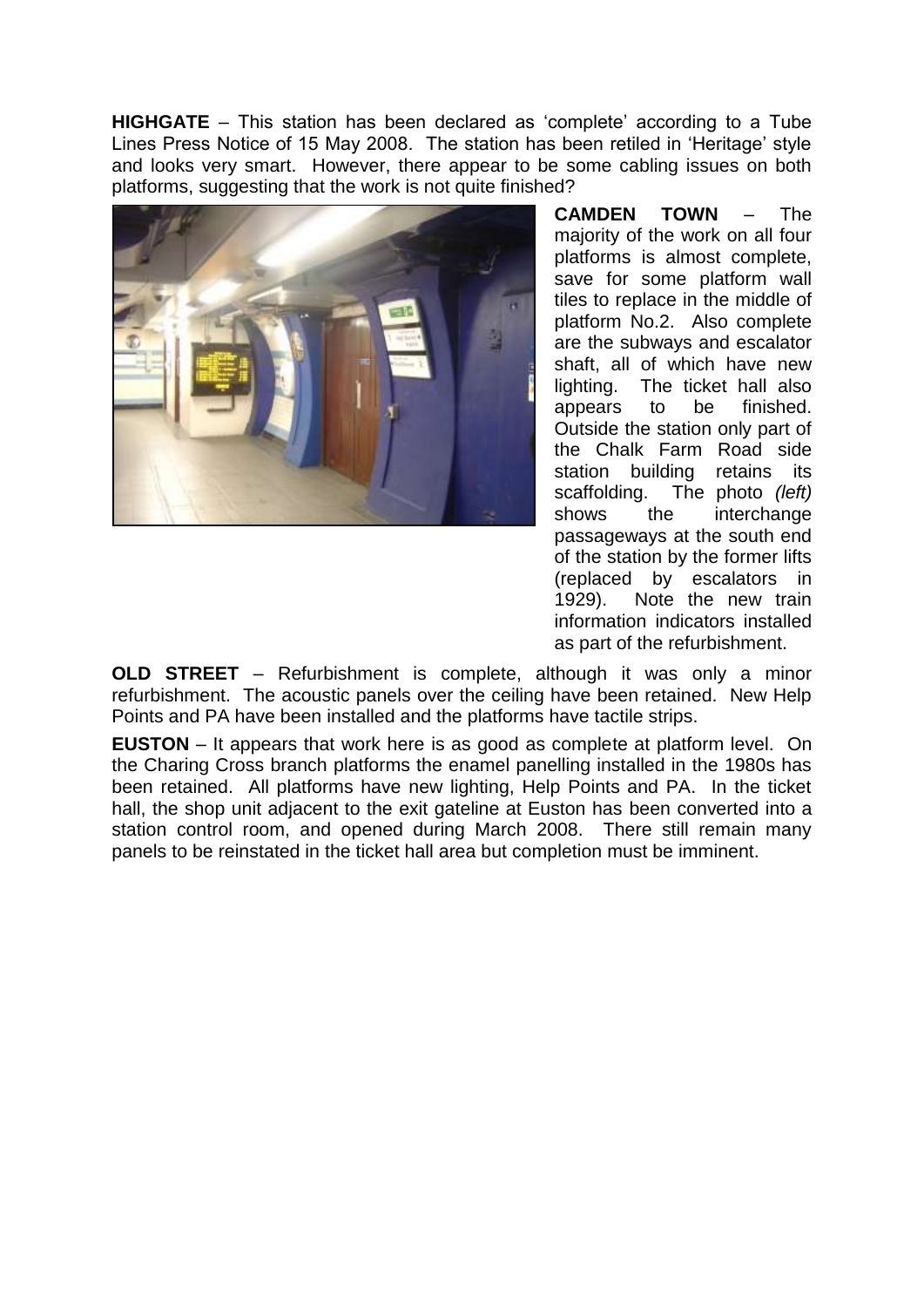**HIGHGATE** – This station has been declared as 'complete' according to a Tube Lines Press Notice of 15 May 2008. The station has been retiled in "Heritage" style and looks very smart. However, there appear to be some cabling issues on both platforms, suggesting that the work is not quite finished?



**CAMDEN TOWN** – The majority of the work on all four platforms is almost complete, save for some platform wall tiles to replace in the middle of platform No.2. Also complete are the subways and escalator shaft, all of which have new lighting. The ticket hall also appears to be finished. Outside the station only part of the Chalk Farm Road side station building retains its scaffolding. The photo *(left)*  shows the interchange passageways at the south end of the station by the former lifts (replaced by escalators in 1929). Note the new train information indicators installed as part of the refurbishment.

**OLD STREET** – Refurbishment is complete, although it was only a minor refurbishment. The acoustic panels over the ceiling have been retained. New Help Points and PA have been installed and the platforms have tactile strips.

**EUSTON** – It appears that work here is as good as complete at platform level. On the Charing Cross branch platforms the enamel panelling installed in the 1980s has been retained. All platforms have new lighting, Help Points and PA. In the ticket hall, the shop unit adjacent to the exit gateline at Euston has been converted into a station control room, and opened during March 2008. There still remain many panels to be reinstated in the ticket hall area but completion must be imminent.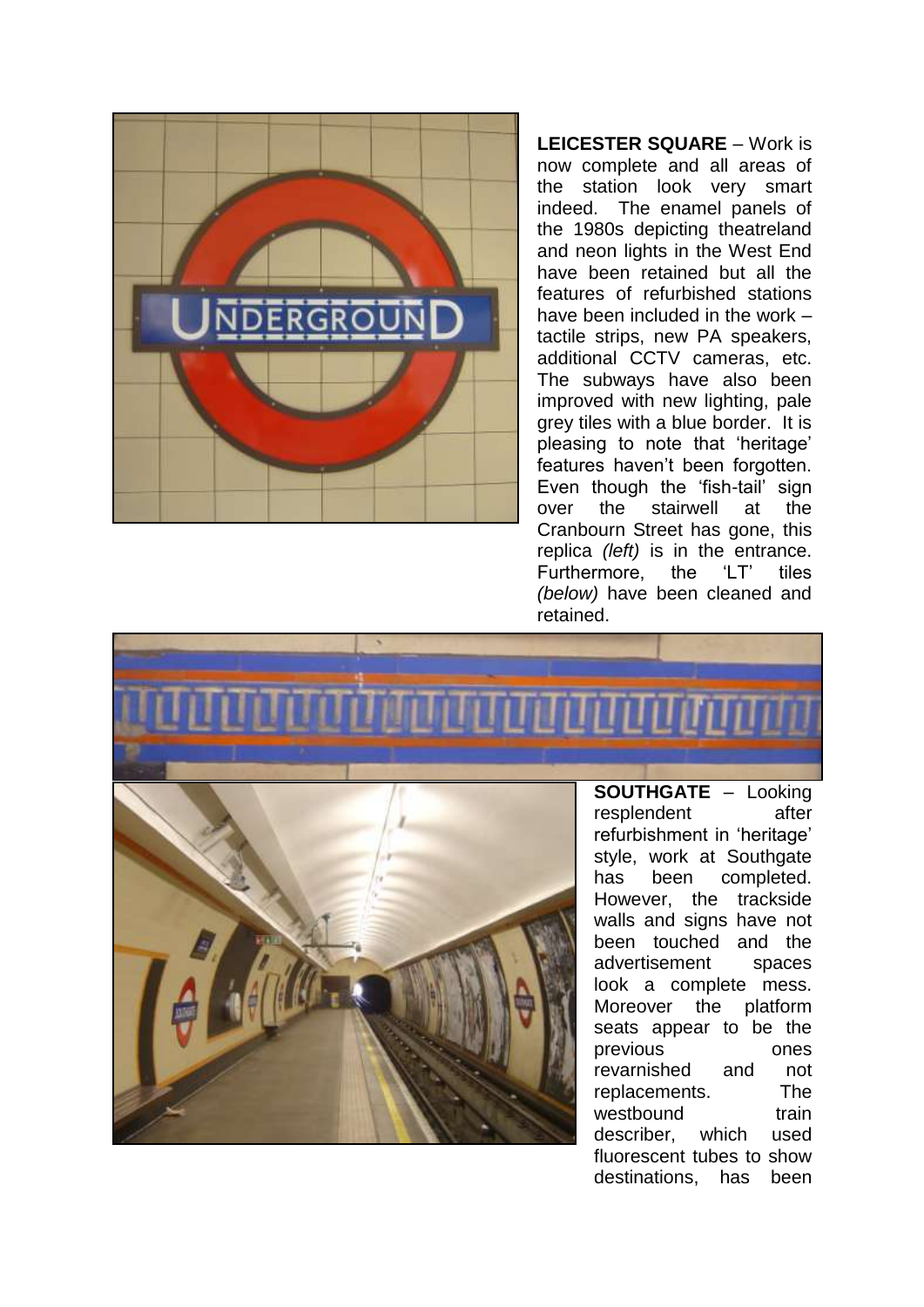

**LEICESTER SQUARE** – Work is now complete and all areas of the station look very smart indeed. The enamel panels of the 1980s depicting theatreland and neon lights in the West End have been retained but all the features of refurbished stations have been included in the work – tactile strips, new PA speakers, additional CCTV cameras, etc. The subways have also been improved with new lighting, pale grey tiles with a blue border. It is pleasing to note that "heritage" features haven"t been forgotten. Even though the "fish-tail" sign over the stairwell at the Cranbourn Street has gone, this replica *(left)* is in the entrance. Furthermore, the 'LT' tiles *(below)* have been cleaned and retained.





**SOUTHGATE** – Looking resplendent after refurbishment in "heritage" style, work at Southgate has been completed. However, the trackside walls and signs have not been touched and the advertisement spaces look a complete mess. Moreover the platform seats appear to be the previous ones revarnished and not replacements. The westbound train describer, which used fluorescent tubes to show destinations, has been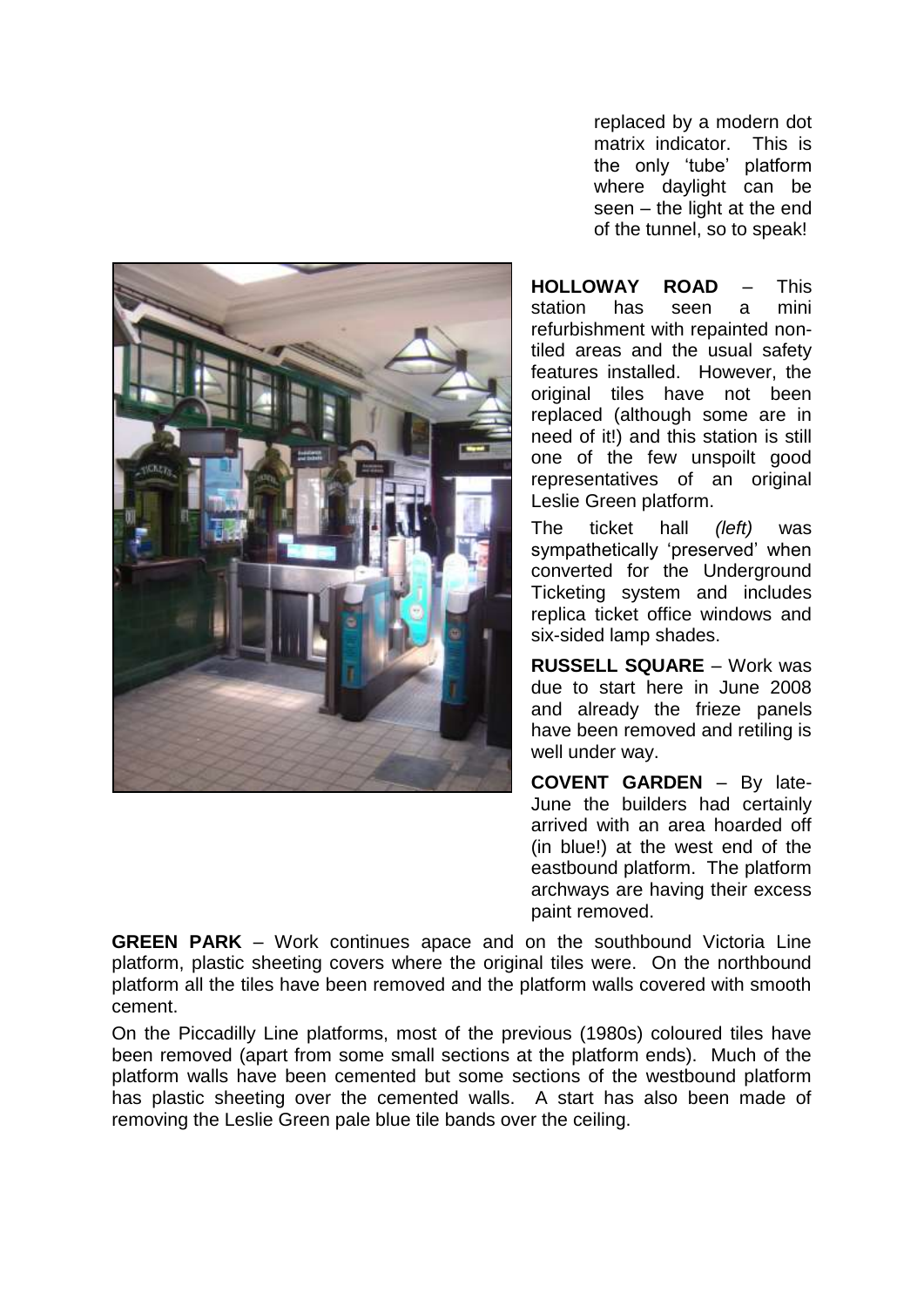

replaced by a modern dot matrix indicator. This is the only 'tube' platform where daylight can be seen – the light at the end of the tunnel, so to speak!

**HOLLOWAY ROAD** – This station has seen a mini refurbishment with repainted nontiled areas and the usual safety features installed. However, the original tiles have not been replaced (although some are in need of it!) and this station is still one of the few unspoilt good representatives of an original Leslie Green platform.

The ticket hall *(left)* was sympathetically 'preserved' when converted for the Underground Ticketing system and includes replica ticket office windows and six-sided lamp shades.

**RUSSELL SQUARE** – Work was due to start here in June 2008 and already the frieze panels have been removed and retiling is well under way.

**COVENT GARDEN** – By late-June the builders had certainly arrived with an area hoarded off (in blue!) at the west end of the eastbound platform. The platform archways are having their excess paint removed.

**GREEN PARK** – Work continues apace and on the southbound Victoria Line platform, plastic sheeting covers where the original tiles were. On the northbound platform all the tiles have been removed and the platform walls covered with smooth cement.

On the Piccadilly Line platforms, most of the previous (1980s) coloured tiles have been removed (apart from some small sections at the platform ends). Much of the platform walls have been cemented but some sections of the westbound platform has plastic sheeting over the cemented walls. A start has also been made of removing the Leslie Green pale blue tile bands over the ceiling.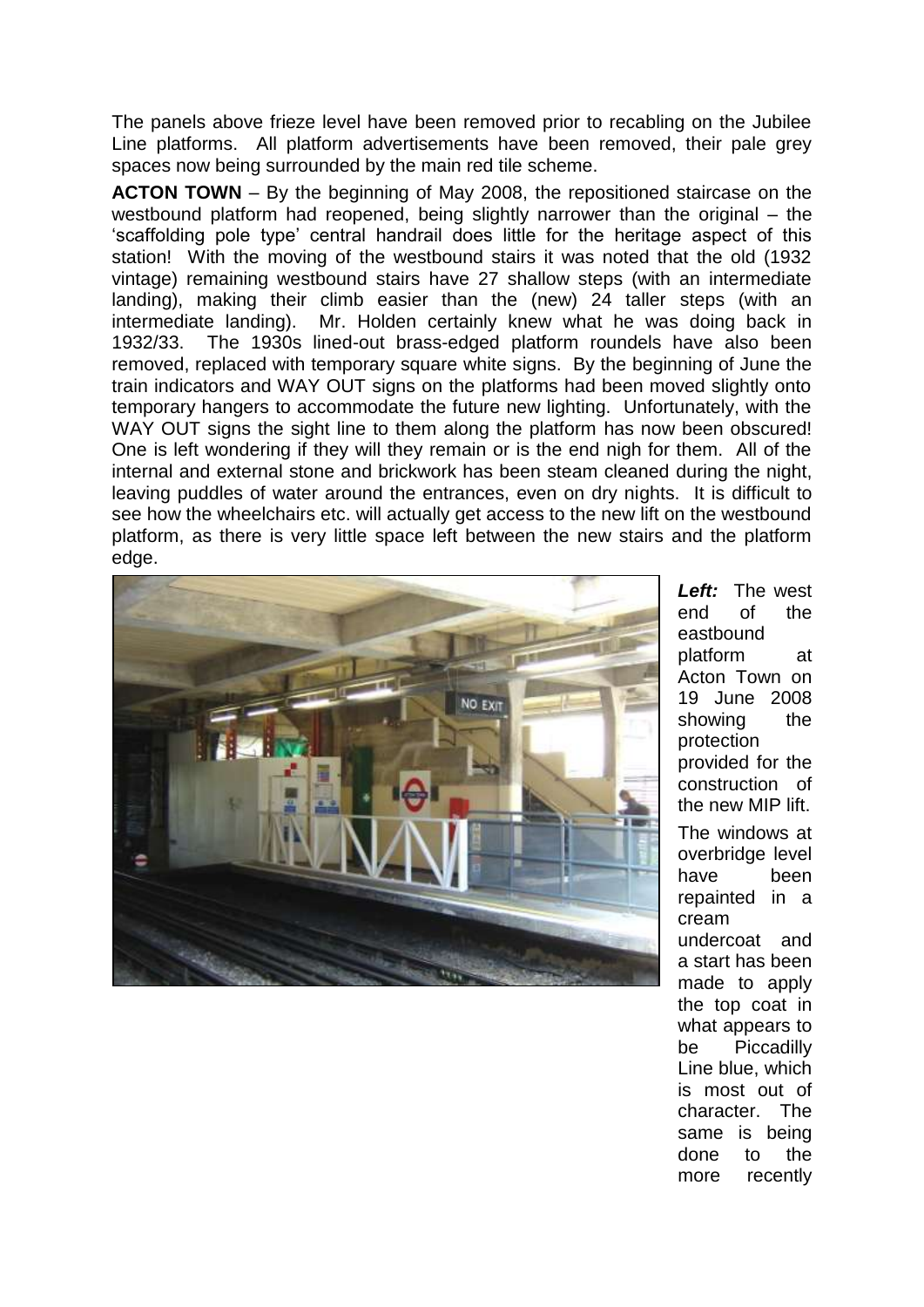The panels above frieze level have been removed prior to recabling on the Jubilee Line platforms. All platform advertisements have been removed, their pale grey spaces now being surrounded by the main red tile scheme.

**ACTON TOWN** – By the beginning of May 2008, the repositioned staircase on the westbound platform had reopened, being slightly narrower than the original – the 'scaffolding pole type' central handrail does little for the heritage aspect of this station! With the moving of the westbound stairs it was noted that the old (1932 vintage) remaining westbound stairs have 27 shallow steps (with an intermediate landing), making their climb easier than the (new) 24 taller steps (with an intermediate landing). Mr. Holden certainly knew what he was doing back in 1932/33. The 1930s lined-out brass-edged platform roundels have also been removed, replaced with temporary square white signs. By the beginning of June the train indicators and WAY OUT signs on the platforms had been moved slightly onto temporary hangers to accommodate the future new lighting. Unfortunately, with the WAY OUT signs the sight line to them along the platform has now been obscured! One is left wondering if they will they remain or is the end nigh for them. All of the internal and external stone and brickwork has been steam cleaned during the night, leaving puddles of water around the entrances, even on dry nights. It is difficult to see how the wheelchairs etc. will actually get access to the new lift on the westbound platform, as there is very little space left between the new stairs and the platform edge.



*Left:* The west end of the eastbound platform at Acton Town on 19 June 2008 showing the protection provided for the construction of the new MIP lift. The windows at overbridge level have been repainted in a cream undercoat and a start has been made to apply the top coat in what appears to be Piccadilly Line blue, which is most out of character. The same is being done to the more recently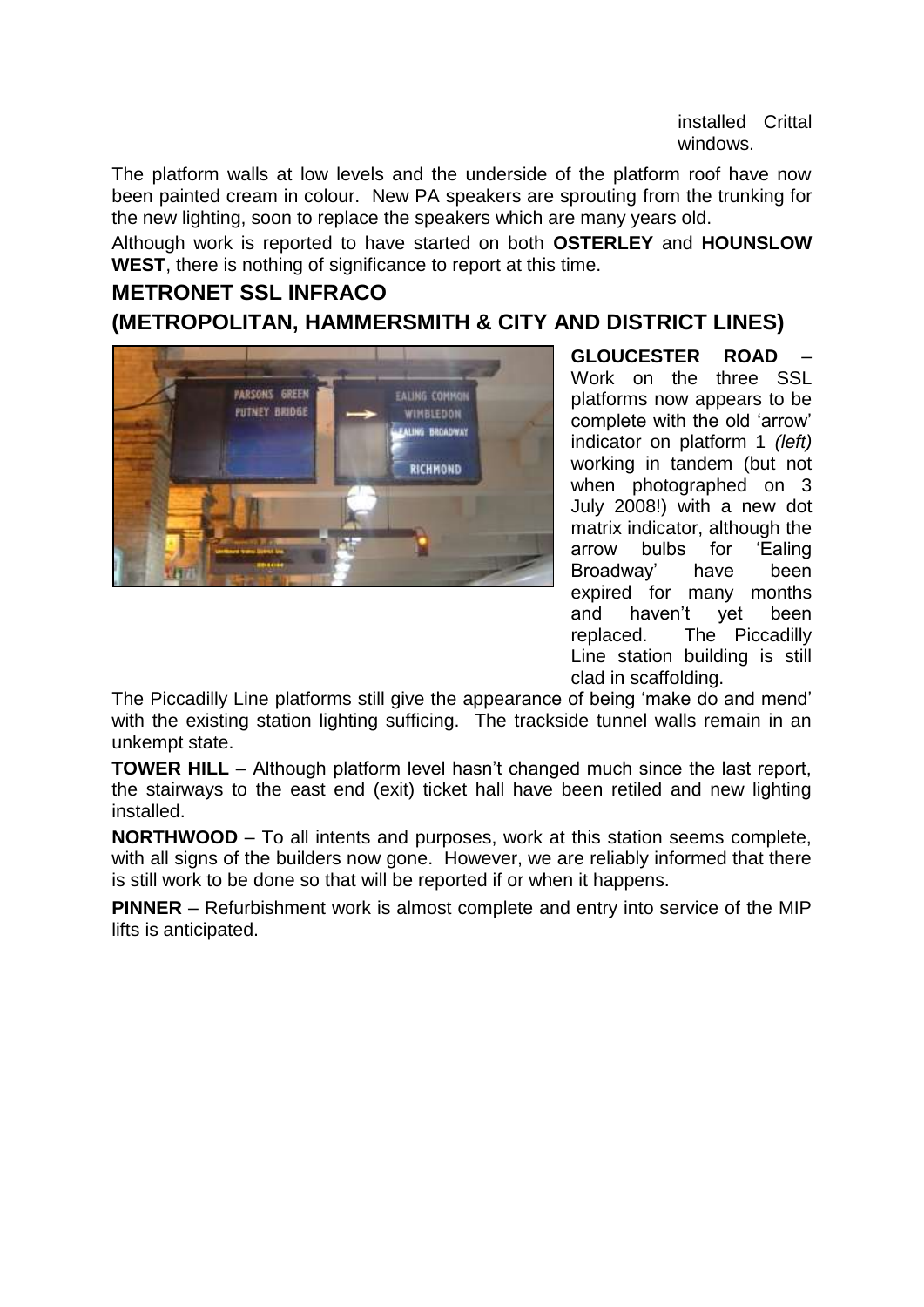installed Crittal windows.

The platform walls at low levels and the underside of the platform roof have now been painted cream in colour. New PA speakers are sprouting from the trunking for the new lighting, soon to replace the speakers which are many years old.

Although work is reported to have started on both **OSTERLEY** and **HOUNSLOW WEST**, there is nothing of significance to report at this time.

# **METRONET SSL INFRACO**

# **(METROPOLITAN, HAMMERSMITH & CITY AND DISTRICT LINES)**



**GLOUCESTER ROAD** – Work on the three SSL platforms now appears to be complete with the old "arrow" indicator on platform 1 *(left)*  working in tandem (but not when photographed on 3 July 2008!) with a new dot matrix indicator, although the arrow bulbs for "Ealing Broadway" have been expired for many months and haven"t yet been replaced. The Piccadilly Line station building is still clad in scaffolding.

The Piccadilly Line platforms still give the appearance of being "make do and mend" with the existing station lighting sufficing. The trackside tunnel walls remain in an unkempt state.

**TOWER HILL** – Although platform level hasn't changed much since the last report, the stairways to the east end (exit) ticket hall have been retiled and new lighting installed.

**NORTHWOOD** – To all intents and purposes, work at this station seems complete, with all signs of the builders now gone. However, we are reliably informed that there is still work to be done so that will be reported if or when it happens.

**PINNER** – Refurbishment work is almost complete and entry into service of the MIP lifts is anticipated.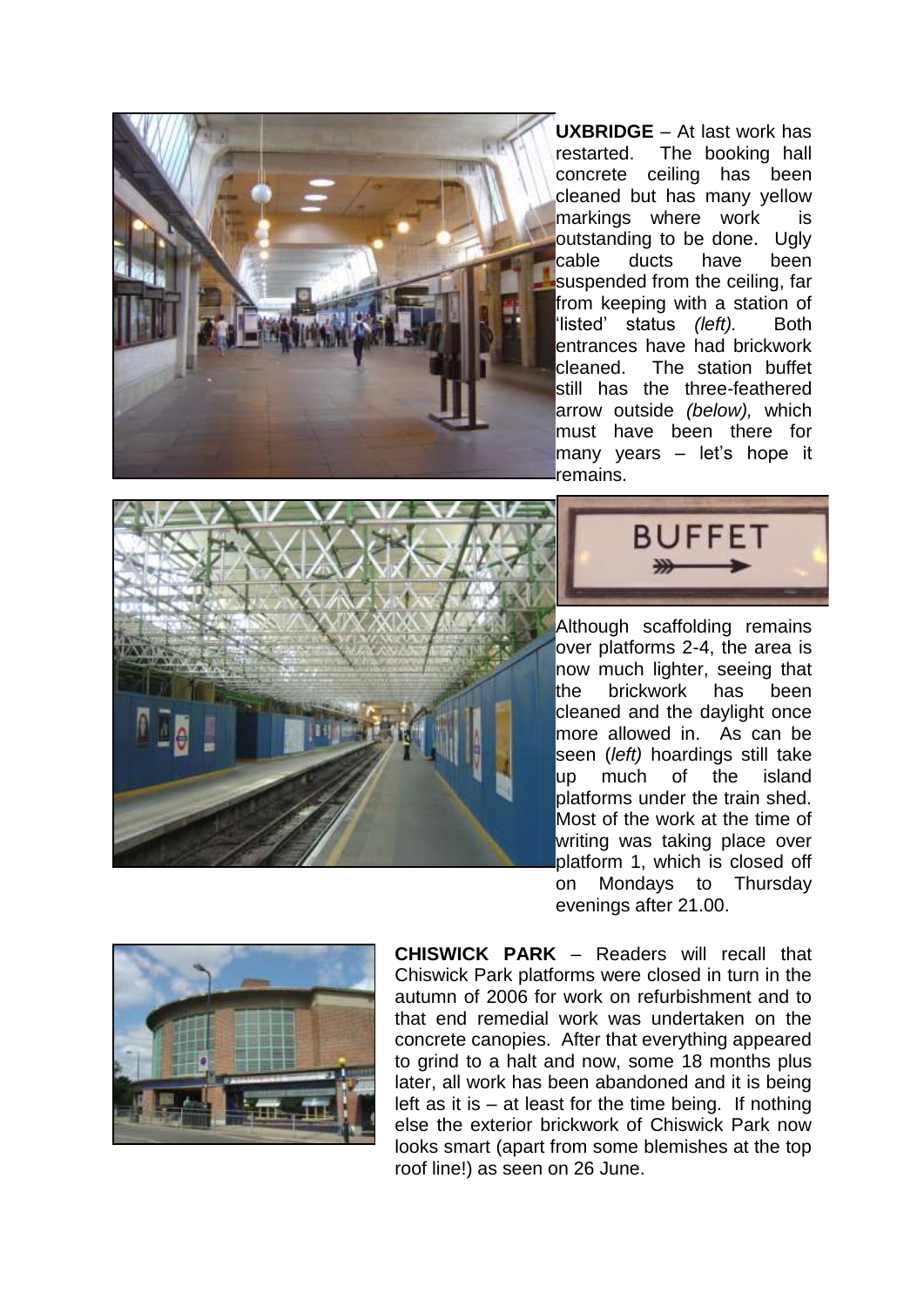

**UXBRIDGE** – At last work has restarted. The booking hall concrete ceiling has been cleaned but has many yellow markings where work is outstanding to be done. Ugly cable ducts have been suspended from the ceiling, far from keeping with a station of "listed" status *(left).* Both entrances have had brickwork cleaned. The station buffet still has the three-feathered arrow outside *(below),* which must have been there for many years – let"s hope it remains.





Although scaffolding remains over platforms 2-4, the area is now much lighter, seeing that the brickwork has been cleaned and the daylight once more allowed in. As can be seen (*left)* hoardings still take up much of the island platforms under the train shed. Most of the work at the time of writing was taking place over platform 1, which is closed off on Mondays to Thursday evenings after 21.00.



**CHISWICK PARK** – Readers will recall that Chiswick Park platforms were closed in turn in the autumn of 2006 for work on refurbishment and to that end remedial work was undertaken on the concrete canopies. After that everything appeared to grind to a halt and now, some 18 months plus later, all work has been abandoned and it is being left as it is – at least for the time being. If nothing else the exterior brickwork of Chiswick Park now looks smart (apart from some blemishes at the top roof line!) as seen on 26 June.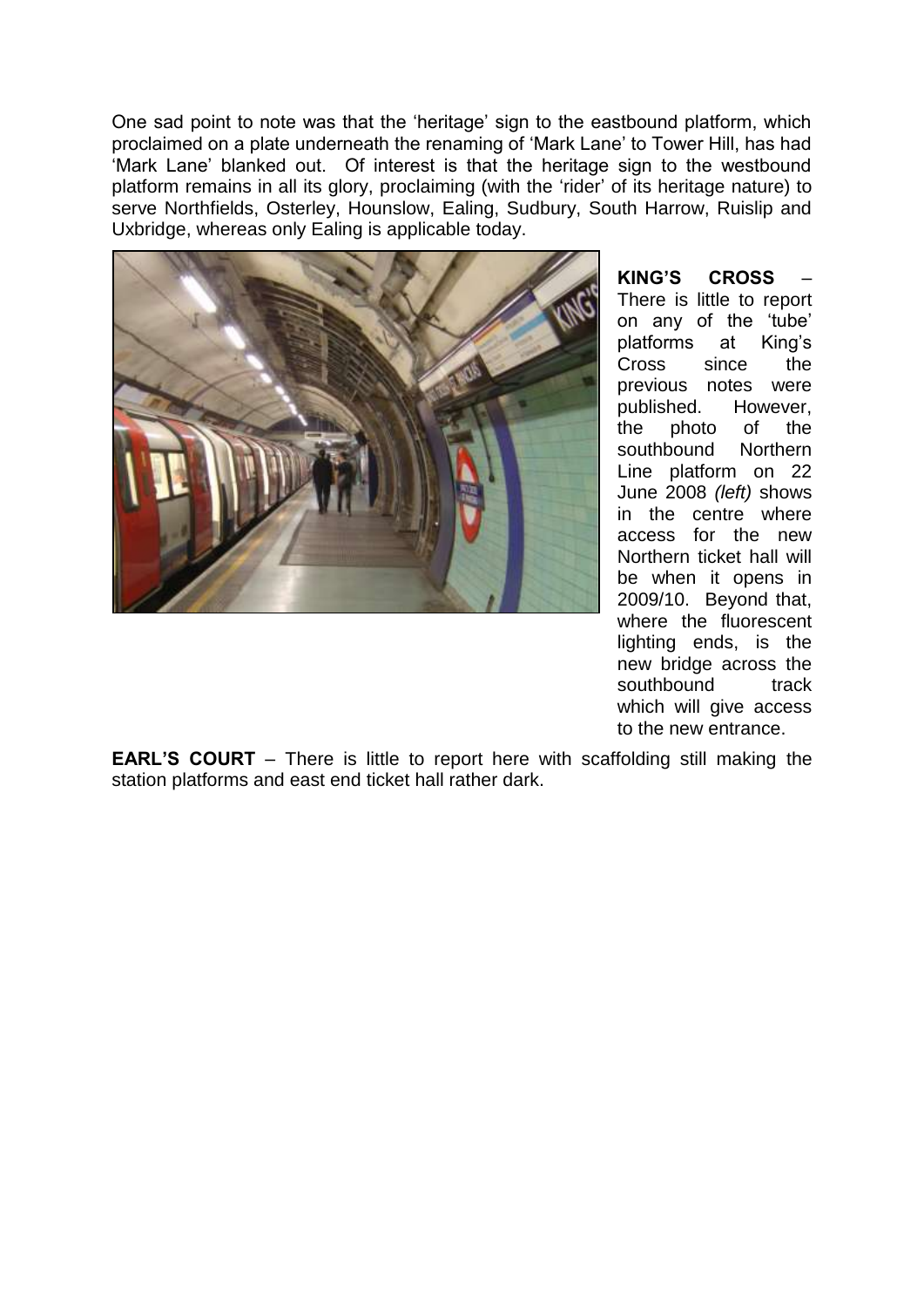One sad point to note was that the "heritage" sign to the eastbound platform, which proclaimed on a plate underneath the renaming of "Mark Lane" to Tower Hill, has had "Mark Lane" blanked out. Of interest is that the heritage sign to the westbound platform remains in all its glory, proclaiming (with the "rider" of its heritage nature) to serve Northfields, Osterley, Hounslow, Ealing, Sudbury, South Harrow, Ruislip and Uxbridge, whereas only Ealing is applicable today.



**KING'S CROSS** – There is little to report on any of the "tube" platforms at King"s Cross since the previous notes were published. However, the photo of the southbound Northern Line platform on 22 June 2008 *(left)* shows in the centre where access for the new Northern ticket hall will be when it opens in 2009/10. Beyond that, where the fluorescent lighting ends, is the new bridge across the southbound track which will give access to the new entrance.

**EARL'S COURT** – There is little to report here with scaffolding still making the station platforms and east end ticket hall rather dark.